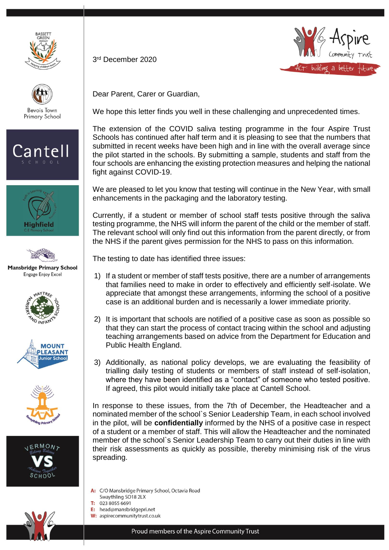









**Mansbridge Primary School** Engage Enjoy Excel









3 rd December 2020



Dear Parent, Carer or Guardian,

We hope this letter finds you well in these challenging and unprecedented times.

The extension of the COVID saliva testing programme in the four Aspire Trust Schools has continued after half term and it is pleasing to see that the numbers that submitted in recent weeks have been high and in line with the overall average since the pilot started in the schools. By submitting a sample, students and staff from the four schools are enhancing the existing protection measures and helping the national fight against COVID-19.

We are pleased to let you know that testing will continue in the New Year, with small enhancements in the packaging and the laboratory testing.

Currently, if a student or member of school staff tests positive through the saliva testing programme, the NHS will inform the parent of the child or the member of staff. The relevant school will only find out this information from the parent directly, or from the NHS if the parent gives permission for the NHS to pass on this information.

The testing to date has identified three issues:

- 1) If a student or member of staff tests positive, there are a number of arrangements that families need to make in order to effectively and efficiently self-isolate. We appreciate that amongst these arrangements, informing the school of a positive case is an additional burden and is necessarily a lower immediate priority.
- 2) It is important that schools are notified of a positive case as soon as possible so that they can start the process of contact tracing within the school and adjusting teaching arrangements based on advice from the Department for Education and Public Health England.
- 3) Additionally, as national policy develops, we are evaluating the feasibility of trialling daily testing of students or members of staff instead of self-isolation, where they have been identified as a "contact" of someone who tested positive. If agreed, this pilot would initially take place at Cantell School.

In response to these issues, from the 7th of December, the Headteacher and a nominated member of the school`s Senior Leadership Team, in each school involved in the pilot, will be **confidentially** informed by the NHS of a positive case in respect of a student or a member of staff. This will allow the Headteacher and the nominated member of the school`s Senior Leadership Team to carry out their duties in line with their risk assessments as quickly as possible, thereby minimising risk of the virus spreading.

- A: C/O Mansbridge Primary School, Octavia Road
- Swaythling SO18 2LX
- T: 023 8055 6691
- head@mansbridgepri.net E:
- W: aspirecommunitytrust.co.uk